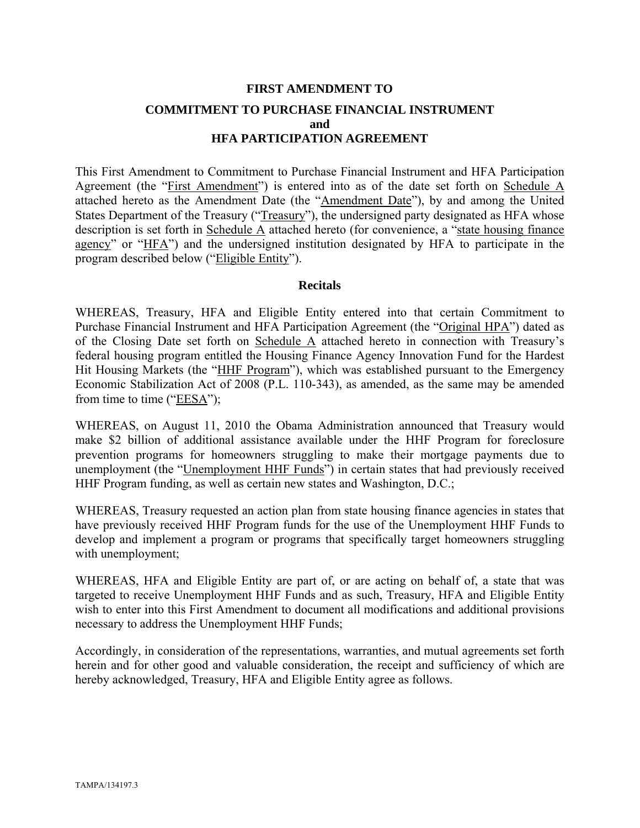# **FIRST AMENDMENT TO COMMITMENT TO PURCHASE FINANCIAL INSTRUMENT and HFA PARTICIPATION AGREEMENT**

This First Amendment to Commitment to Purchase Financial Instrument and HFA Participation Agreement (the "First Amendment") is entered into as of the date set forth on Schedule A attached hereto as the Amendment Date (the "Amendment Date"), by and among the United States Department of the Treasury ("Treasury"), the undersigned party designated as HFA whose description is set forth in Schedule A attached hereto (for convenience, a "state housing finance agency" or "HFA") and the undersigned institution designated by HFA to participate in the program described below ("Eligible Entity").

#### **Recitals**

WHEREAS, Treasury, HFA and Eligible Entity entered into that certain Commitment to Purchase Financial Instrument and HFA Participation Agreement (the "Original HPA") dated as of the Closing Date set forth on Schedule A attached hereto in connection with Treasury's federal housing program entitled the Housing Finance Agency Innovation Fund for the Hardest Hit Housing Markets (the "HHF Program"), which was established pursuant to the Emergency Economic Stabilization Act of 2008 (P.L. 110-343), as amended, as the same may be amended from time to time ("EESA");

WHEREAS, on August 11, 2010 the Obama Administration announced that Treasury would make \$2 billion of additional assistance available under the HHF Program for foreclosure prevention programs for homeowners struggling to make their mortgage payments due to unemployment (the "Unemployment HHF Funds") in certain states that had previously received HHF Program funding, as well as certain new states and Washington, D.C.;

WHEREAS, Treasury requested an action plan from state housing finance agencies in states that have previously received HHF Program funds for the use of the Unemployment HHF Funds to develop and implement a program or programs that specifically target homeowners struggling with unemployment;

WHEREAS, HFA and Eligible Entity are part of, or are acting on behalf of, a state that was targeted to receive Unemployment HHF Funds and as such, Treasury, HFA and Eligible Entity wish to enter into this First Amendment to document all modifications and additional provisions necessary to address the Unemployment HHF Funds;

Accordingly, in consideration of the representations, warranties, and mutual agreements set forth herein and for other good and valuable consideration, the receipt and sufficiency of which are hereby acknowledged, Treasury, HFA and Eligible Entity agree as follows.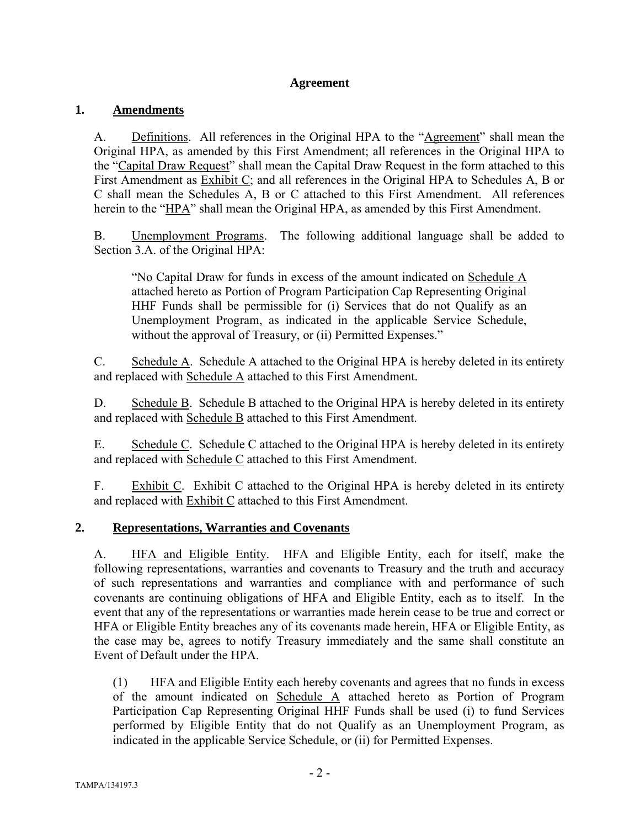## **Agreement**

## **1. Amendments**

A. Definitions. All references in the Original HPA to the "Agreement" shall mean the Original HPA, as amended by this First Amendment; all references in the Original HPA to the "Capital Draw Request" shall mean the Capital Draw Request in the form attached to this First Amendment as Exhibit C; and all references in the Original HPA to Schedules A, B or C shall mean the Schedules A, B or C attached to this First Amendment. All references herein to the "HPA" shall mean the Original HPA, as amended by this First Amendment.

B. Unemployment Programs. The following additional language shall be added to Section 3.A. of the Original HPA:

"No Capital Draw for funds in excess of the amount indicated on Schedule A attached hereto as Portion of Program Participation Cap Representing Original HHF Funds shall be permissible for (i) Services that do not Qualify as an Unemployment Program, as indicated in the applicable Service Schedule, without the approval of Treasury, or (ii) Permitted Expenses."

C. Schedule A. Schedule A attached to the Original HPA is hereby deleted in its entirety and replaced with Schedule A attached to this First Amendment.

D. Schedule B. Schedule B attached to the Original HPA is hereby deleted in its entirety and replaced with Schedule B attached to this First Amendment.

E. Schedule C. Schedule C attached to the Original HPA is hereby deleted in its entirety and replaced with Schedule C attached to this First Amendment.

F. Exhibit C. Exhibit C attached to the Original HPA is hereby deleted in its entirety and replaced with Exhibit C attached to this First Amendment.

## **2. Representations, Warranties and Covenants**

A. HFA and Eligible Entity. HFA and Eligible Entity, each for itself, make the following representations, warranties and covenants to Treasury and the truth and accuracy of such representations and warranties and compliance with and performance of such covenants are continuing obligations of HFA and Eligible Entity, each as to itself. In the event that any of the representations or warranties made herein cease to be true and correct or HFA or Eligible Entity breaches any of its covenants made herein, HFA or Eligible Entity, as the case may be, agrees to notify Treasury immediately and the same shall constitute an Event of Default under the HPA.

(1) HFA and Eligible Entity each hereby covenants and agrees that no funds in excess of the amount indicated on Schedule A attached hereto as Portion of Program Participation Cap Representing Original HHF Funds shall be used (i) to fund Services performed by Eligible Entity that do not Qualify as an Unemployment Program, as indicated in the applicable Service Schedule, or (ii) for Permitted Expenses.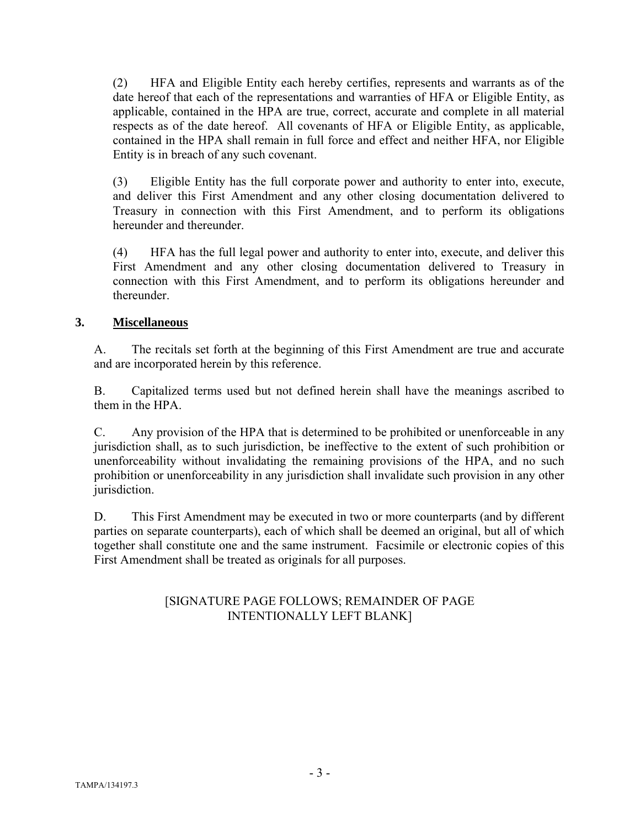(2) HFA and Eligible Entity each hereby certifies, represents and warrants as of the date hereof that each of the representations and warranties of HFA or Eligible Entity, as applicable, contained in the HPA are true, correct, accurate and complete in all material respects as of the date hereof. All covenants of HFA or Eligible Entity, as applicable, contained in the HPA shall remain in full force and effect and neither HFA, nor Eligible Entity is in breach of any such covenant.

(3) Eligible Entity has the full corporate power and authority to enter into, execute, and deliver this First Amendment and any other closing documentation delivered to Treasury in connection with this First Amendment, and to perform its obligations hereunder and thereunder.

(4) HFA has the full legal power and authority to enter into, execute, and deliver this First Amendment and any other closing documentation delivered to Treasury in connection with this First Amendment, and to perform its obligations hereunder and thereunder.

## **3. Miscellaneous**

A. The recitals set forth at the beginning of this First Amendment are true and accurate and are incorporated herein by this reference.

B. Capitalized terms used but not defined herein shall have the meanings ascribed to them in the HPA.

C. Any provision of the HPA that is determined to be prohibited or unenforceable in any jurisdiction shall, as to such jurisdiction, be ineffective to the extent of such prohibition or unenforceability without invalidating the remaining provisions of the HPA, and no such prohibition or unenforceability in any jurisdiction shall invalidate such provision in any other jurisdiction.

D. This First Amendment may be executed in two or more counterparts (and by different parties on separate counterparts), each of which shall be deemed an original, but all of which together shall constitute one and the same instrument. Facsimile or electronic copies of this First Amendment shall be treated as originals for all purposes.

## [SIGNATURE PAGE FOLLOWS; REMAINDER OF PAGE INTENTIONALLY LEFT BLANK]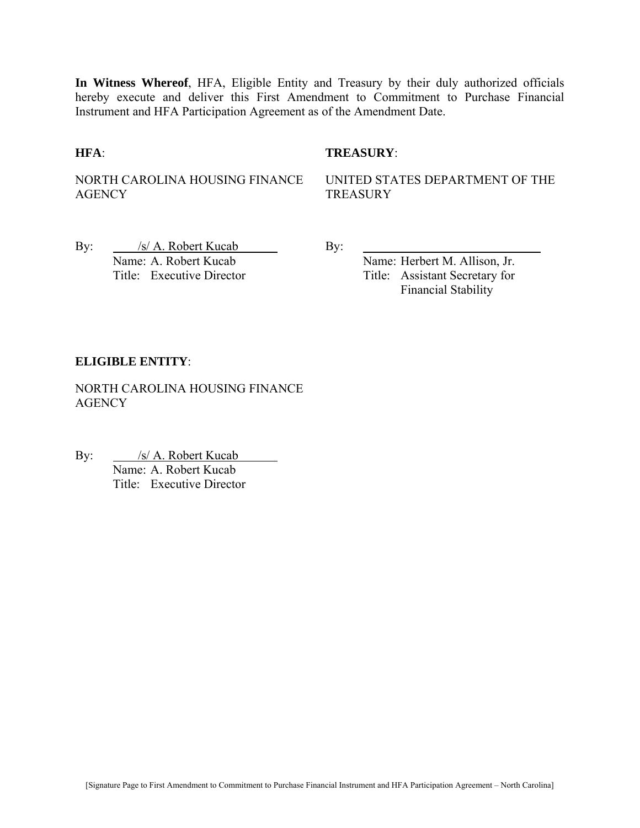**In Witness Whereof**, HFA, Eligible Entity and Treasury by their duly authorized officials hereby execute and deliver this First Amendment to Commitment to Purchase Financial Instrument and HFA Participation Agreement as of the Amendment Date.

#### **HFA**: **TREASURY**:

NORTH CAROLINA HOUSING FINANCE **AGENCY** 

UNITED STATES DEPARTMENT OF THE TREASURY

By: /s/ A. Robert Kucab By: Name: A. Robert Kucab Name: Herbert M. Allison, Jr.

Title: Executive Director Title: Assistant Secretary for Financial Stability

#### **ELIGIBLE ENTITY**:

NORTH CAROLINA HOUSING FINANCE **AGENCY** 

By: <u>/s/ A. Robert Kucab</u> **Name: A. Robert Kucab** Title: Executive Director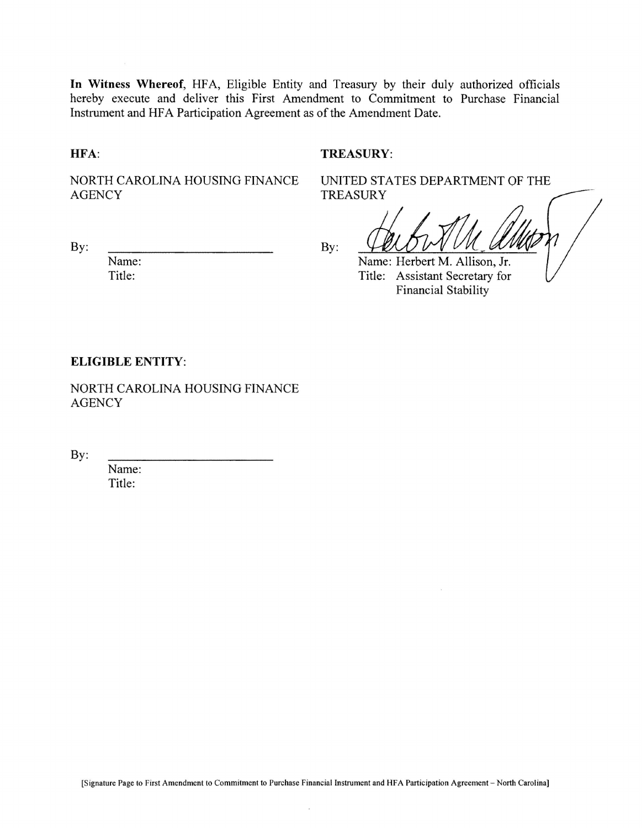In Witness Whereof, HFA, Eligible Entity and Treasury by their duly authorized officials hereby execute and deliver this First Amendment to Commitment to Purchase Financial Instrument and HFA Participation Agreement as of the Amendment Date.

HFA:

#### TREASURY:

NORTH CAROLINA HOUSING FINANCE **AGENCY** 

**TREASURY** 

By:

Name: Title:

By:

Name: Herbert M. Allison, Jr. Title: Assistant Secretary for **Financial Stability** 

UNITED STATES DEPARTMENT OF THE

#### **ELIGIBLE ENTITY:**

NORTH CAROLINA HOUSING FINANCE **AGENCY** 

By:

Name: Title: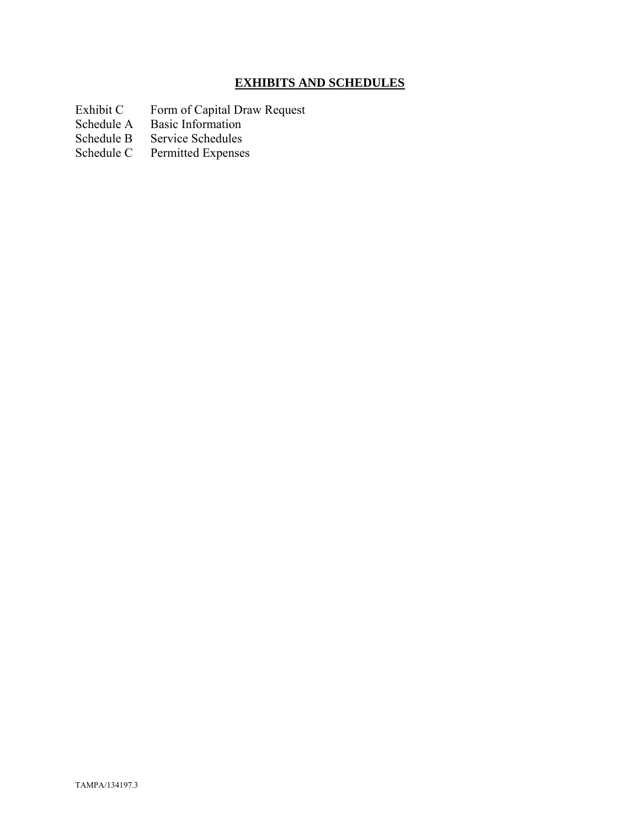# **EXHIBITS AND SCHEDULES**

- Exhibit C Form of Capital Draw Request
- Schedule A Basic Information
- Schedule B Service Schedules<br>Schedule C Permitted Expenses
- Permitted Expenses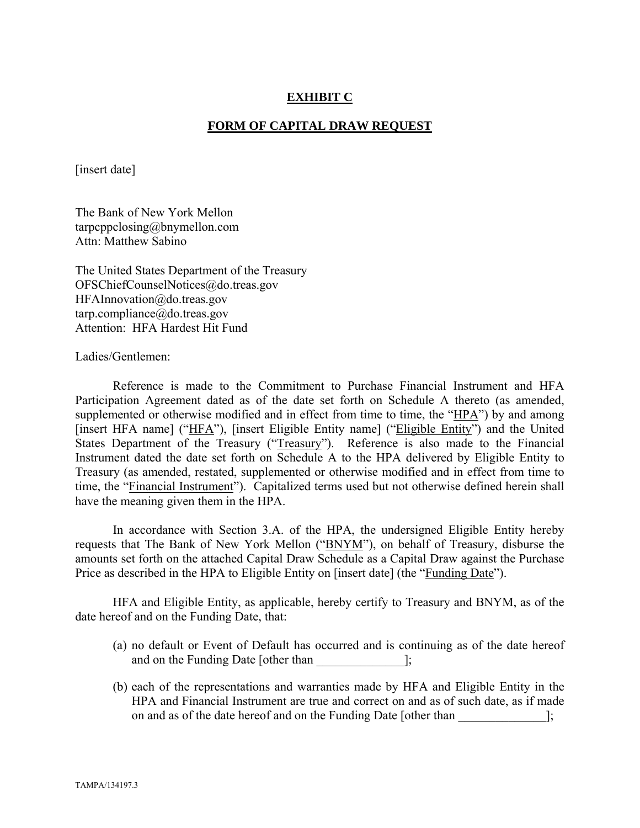## **EXHIBIT C**

#### **FORM OF CAPITAL DRAW REQUEST**

[insert date]

The Bank of New York Mellon tarpcppclosing@bnymellon.com Attn: Matthew Sabino

The United States Department of the Treasury OFSChiefCounselNotices@do.treas.gov HFAInnovation@do.treas.gov tarp.compliance@do.treas.gov Attention: HFA Hardest Hit Fund

Ladies/Gentlemen:

 Reference is made to the Commitment to Purchase Financial Instrument and HFA Participation Agreement dated as of the date set forth on Schedule A thereto (as amended, supplemented or otherwise modified and in effect from time to time, the "HPA") by and among [insert HFA name] ("HFA"), [insert Eligible Entity name] ("Eligible Entity") and the United States Department of the Treasury ("Treasury"). Reference is also made to the Financial Instrument dated the date set forth on Schedule A to the HPA delivered by Eligible Entity to Treasury (as amended, restated, supplemented or otherwise modified and in effect from time to time, the "Financial Instrument"). Capitalized terms used but not otherwise defined herein shall have the meaning given them in the HPA.

 In accordance with Section 3.A. of the HPA, the undersigned Eligible Entity hereby requests that The Bank of New York Mellon ("BNYM"), on behalf of Treasury, disburse the amounts set forth on the attached Capital Draw Schedule as a Capital Draw against the Purchase Price as described in the HPA to Eligible Entity on [insert date] (the "Funding Date").

 HFA and Eligible Entity, as applicable, hereby certify to Treasury and BNYM, as of the date hereof and on the Funding Date, that:

- (a) no default or Event of Default has occurred and is continuing as of the date hereof and on the Funding Date [other than ];
- (b) each of the representations and warranties made by HFA and Eligible Entity in the HPA and Financial Instrument are true and correct on and as of such date, as if made on and as of the date hereof and on the Funding Date [other than  $\cdot$ ];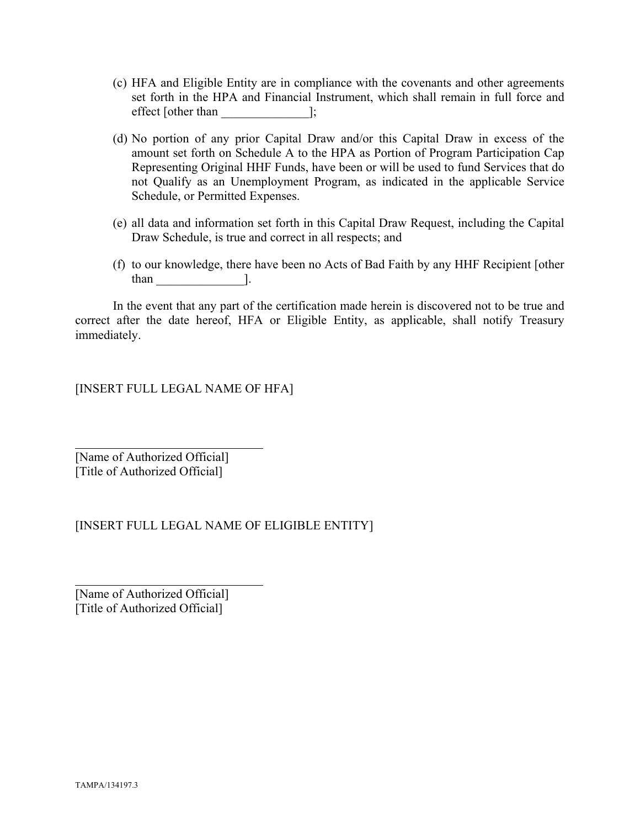- (c) HFA and Eligible Entity are in compliance with the covenants and other agreements set forth in the HPA and Financial Instrument, which shall remain in full force and effect [other than ];
- (d) No portion of any prior Capital Draw and/or this Capital Draw in excess of the amount set forth on Schedule A to the HPA as Portion of Program Participation Cap Representing Original HHF Funds, have been or will be used to fund Services that do not Qualify as an Unemployment Program, as indicated in the applicable Service Schedule, or Permitted Expenses.
- (e) all data and information set forth in this Capital Draw Request, including the Capital Draw Schedule, is true and correct in all respects; and
- (f) to our knowledge, there have been no Acts of Bad Faith by any HHF Recipient [other than  $\qquad \qquad$   $\qquad$   $\qquad$   $\qquad$   $\qquad$   $\qquad$   $\qquad$   $\qquad$   $\qquad$   $\qquad$   $\qquad$   $\qquad$   $\qquad$   $\qquad$   $\qquad$   $\qquad$   $\qquad$   $\qquad$   $\qquad$   $\qquad$   $\qquad$   $\qquad$   $\qquad$   $\qquad$   $\qquad$   $\qquad$   $\qquad$   $\qquad$   $\qquad$   $\qquad$   $\qquad$   $\qquad$   $\qquad$   $\qquad$   $\qquad$   $\q$

 In the event that any part of the certification made herein is discovered not to be true and correct after the date hereof, HFA or Eligible Entity, as applicable, shall notify Treasury immediately.

[INSERT FULL LEGAL NAME OF HFA]

[Name of Authorized Official] [Title of Authorized Official]

 $\overline{a}$ 

l

[INSERT FULL LEGAL NAME OF ELIGIBLE ENTITY]

[Name of Authorized Official] [Title of Authorized Official]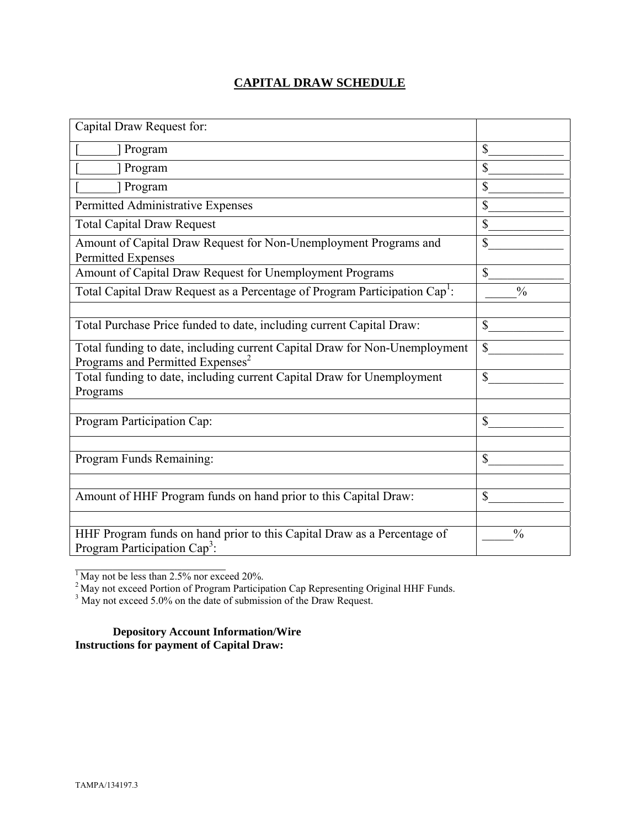## **CAPITAL DRAW SCHEDULE**

| Capital Draw Request for:                                                                                                  |               |
|----------------------------------------------------------------------------------------------------------------------------|---------------|
| Program                                                                                                                    | \$            |
| Program                                                                                                                    | $\mathbb{S}$  |
| Program                                                                                                                    | \$            |
| Permitted Administrative Expenses                                                                                          | \$            |
| <b>Total Capital Draw Request</b>                                                                                          | \$            |
| Amount of Capital Draw Request for Non-Unemployment Programs and<br><b>Permitted Expenses</b>                              | \$            |
| Amount of Capital Draw Request for Unemployment Programs                                                                   | $\mathbb{S}$  |
| Total Capital Draw Request as a Percentage of Program Participation Cap <sup>1</sup> :                                     | $\frac{0}{0}$ |
|                                                                                                                            |               |
| Total Purchase Price funded to date, including current Capital Draw:                                                       | $\mathbb{S}$  |
| Total funding to date, including current Capital Draw for Non-Unemployment<br>Programs and Permitted Expenses <sup>2</sup> | \$            |
| Total funding to date, including current Capital Draw for Unemployment<br>Programs                                         | \$            |
|                                                                                                                            |               |
| Program Participation Cap:                                                                                                 | \$            |
|                                                                                                                            |               |
| Program Funds Remaining:                                                                                                   | \$            |
|                                                                                                                            |               |
| Amount of HHF Program funds on hand prior to this Capital Draw:                                                            | \$            |
|                                                                                                                            |               |
| HHF Program funds on hand prior to this Capital Draw as a Percentage of<br>Program Participation Cap <sup>3</sup> :        | $\frac{0}{0}$ |

 $1$  May not be less than 2.5% nor exceed 20%.

 $\mathcal{L}_\text{max}$ 

<sup>2</sup> May not exceed Portion of Program Participation Cap Representing Original HHF Funds.<br><sup>3</sup> May not exceed 5.0% on the date of submission of the Draw Request.

**Depository Account Information/Wire Instructions for payment of Capital Draw:**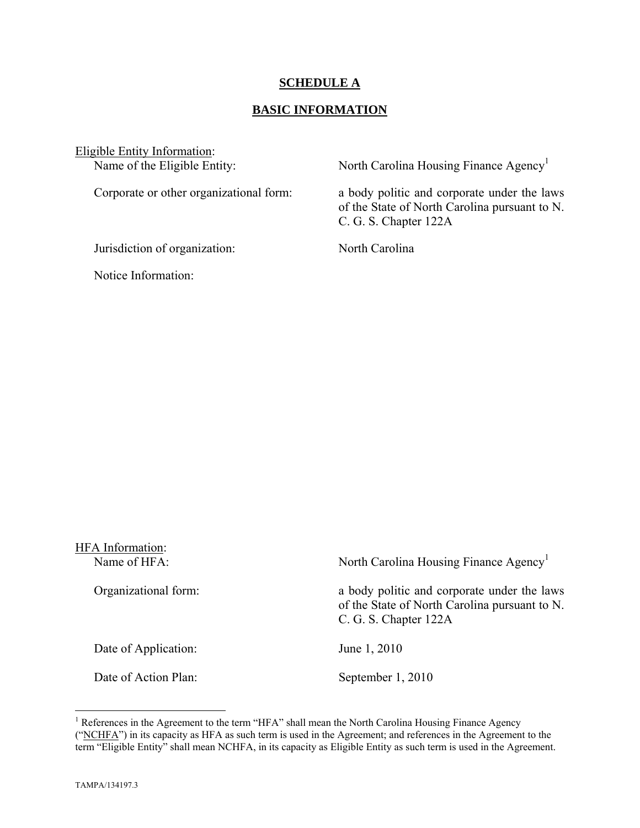## **SCHEDULE A**

## **BASIC INFORMATION**

Eligible Entity Information:<br>Name of the Eligible Entity:

Jurisdiction of organization: North Carolina

Notice Information:

North Carolina Housing Finance Agency<sup>1</sup>

Corporate or other organizational form: a body politic and corporate under the laws of the State of North Carolina pursuant to N. C. G. S. Chapter 122A

| <b>HFA</b> Information:<br>Name of HFA: | North Carolina Housing Finance Agency <sup>1</sup>                                                                    |
|-----------------------------------------|-----------------------------------------------------------------------------------------------------------------------|
| Organizational form:                    | a body politic and corporate under the laws<br>of the State of North Carolina pursuant to N.<br>C. G. S. Chapter 122A |
| Date of Application:                    | June 1, 2010                                                                                                          |
| Date of Action Plan:                    | September 1, 2010                                                                                                     |

<sup>&</sup>lt;sup>1</sup> References in the Agreement to the term "HFA" shall mean the North Carolina Housing Finance Agency ("NCHFA") in its capacity as HFA as such term is used in the Agreement; and references in the Agreement to the term "Eligible Entity" shall mean NCHFA, in its capacity as Eligible Entity as such term is used in the Agreement.

1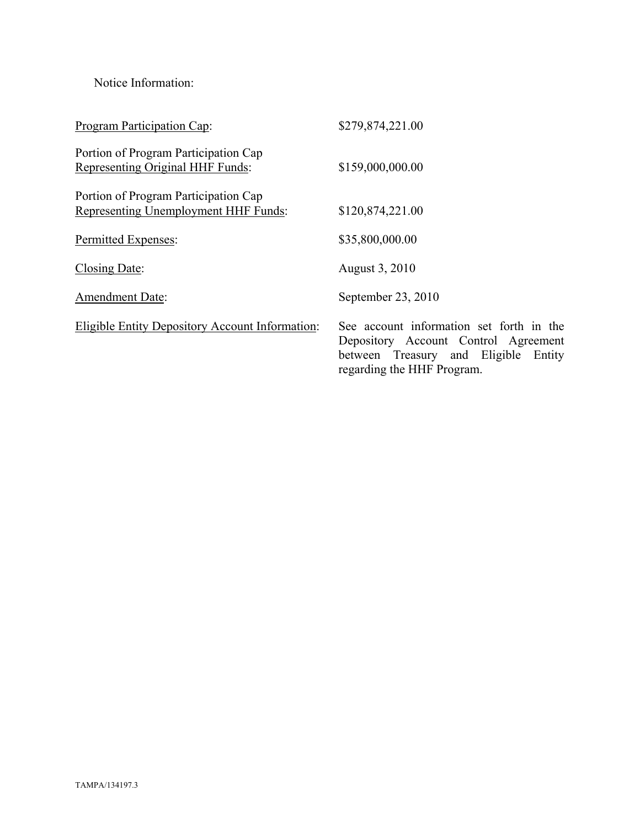Notice Information:

| <b>Program Participation Cap:</b>                                                   | \$279,874,221.00                                                                                                                                       |
|-------------------------------------------------------------------------------------|--------------------------------------------------------------------------------------------------------------------------------------------------------|
| Portion of Program Participation Cap<br><b>Representing Original HHF Funds:</b>     | \$159,000,000.00                                                                                                                                       |
| Portion of Program Participation Cap<br><b>Representing Unemployment HHF Funds:</b> | \$120,874,221.00                                                                                                                                       |
| Permitted Expenses:                                                                 | \$35,800,000.00                                                                                                                                        |
| Closing Date:                                                                       | August 3, 2010                                                                                                                                         |
| <b>Amendment Date:</b>                                                              | September 23, 2010                                                                                                                                     |
| <b>Eligible Entity Depository Account Information:</b>                              | See account information set forth in the<br>Depository Account Control Agreement<br>between Treasury and Eligible Entity<br>regarding the HHF Program. |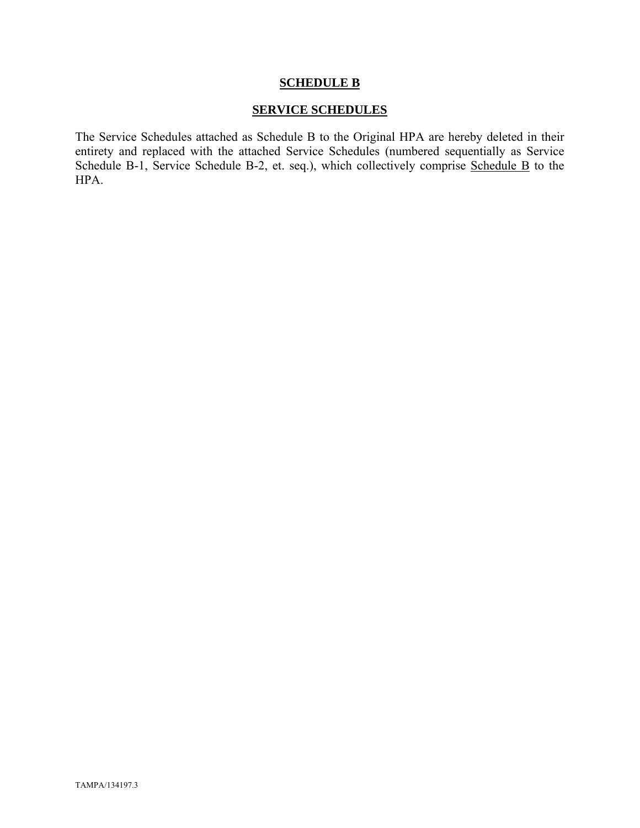#### **SCHEDULE B**

## **SERVICE SCHEDULES**

The Service Schedules attached as Schedule B to the Original HPA are hereby deleted in their entirety and replaced with the attached Service Schedules (numbered sequentially as Service Schedule B-1, Service Schedule B-2, et. seq.), which collectively comprise Schedule B to the HPA.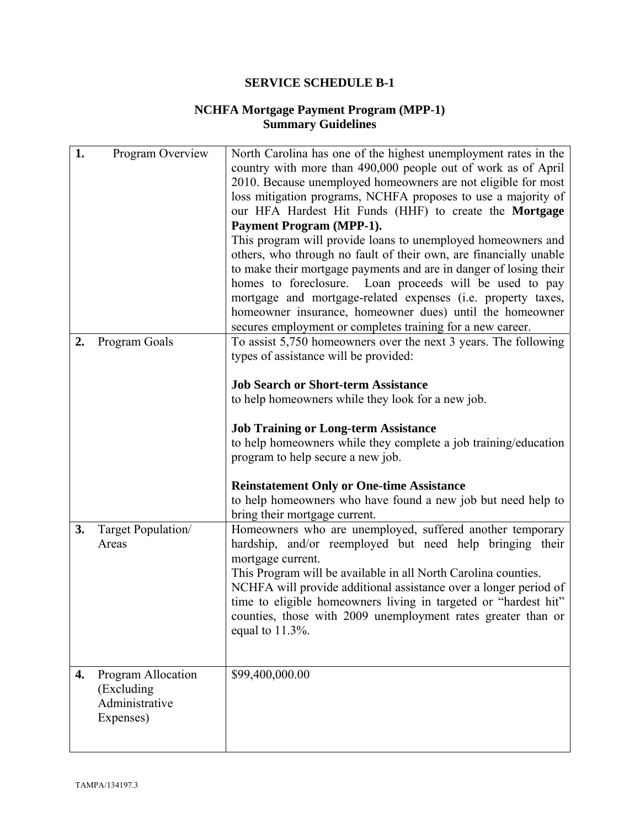### **NCHFA Mortgage Payment Program (MPP-1) Summary Guidelines**

| 1. | Program Overview   | North Carolina has one of the highest unemployment rates in the                                                                     |
|----|--------------------|-------------------------------------------------------------------------------------------------------------------------------------|
|    |                    | country with more than 490,000 people out of work as of April                                                                       |
|    |                    | 2010. Because unemployed homeowners are not eligible for most                                                                       |
|    |                    | loss mitigation programs, NCHFA proposes to use a majority of                                                                       |
|    |                    | our HFA Hardest Hit Funds (HHF) to create the Mortgage                                                                              |
|    |                    | <b>Payment Program (MPP-1).</b>                                                                                                     |
|    |                    | This program will provide loans to unemployed homeowners and                                                                        |
|    |                    | others, who through no fault of their own, are financially unable                                                                   |
|    |                    | to make their mortgage payments and are in danger of losing their                                                                   |
|    |                    | homes to foreclosure. Loan proceeds will be used to pay                                                                             |
|    |                    | mortgage and mortgage-related expenses (i.e. property taxes,                                                                        |
|    |                    | homeowner insurance, homeowner dues) until the homeowner                                                                            |
|    |                    | secures employment or completes training for a new career.                                                                          |
| 2. | Program Goals      | To assist 5,750 homeowners over the next 3 years. The following                                                                     |
|    |                    | types of assistance will be provided:                                                                                               |
|    |                    | <b>Job Search or Short-term Assistance</b>                                                                                          |
|    |                    | to help homeowners while they look for a new job.                                                                                   |
|    |                    |                                                                                                                                     |
|    |                    | <b>Job Training or Long-term Assistance</b>                                                                                         |
|    |                    | to help homeowners while they complete a job training/education                                                                     |
|    |                    | program to help secure a new job.                                                                                                   |
|    |                    |                                                                                                                                     |
|    |                    | <b>Reinstatement Only or One-time Assistance</b>                                                                                    |
|    |                    | to help homeowners who have found a new job but need help to                                                                        |
|    |                    | bring their mortgage current.                                                                                                       |
| 3. | Target Population/ | Homeowners who are unemployed, suffered another temporary                                                                           |
|    | Areas              | hardship, and/or reemployed but need help bringing their                                                                            |
|    |                    | mortgage current.                                                                                                                   |
|    |                    | This Program will be available in all North Carolina counties.                                                                      |
|    |                    | NCHFA will provide additional assistance over a longer period of<br>time to eligible homeowners living in targeted or "hardest hit" |
|    |                    | counties, those with 2009 unemployment rates greater than or                                                                        |
|    |                    | equal to $11.3\%$ .                                                                                                                 |
|    |                    |                                                                                                                                     |
|    |                    |                                                                                                                                     |
| 4. | Program Allocation | \$99,400,000.00                                                                                                                     |
|    | (Excluding)        |                                                                                                                                     |
|    | Administrative     |                                                                                                                                     |
|    | Expenses)          |                                                                                                                                     |
|    |                    |                                                                                                                                     |
|    |                    |                                                                                                                                     |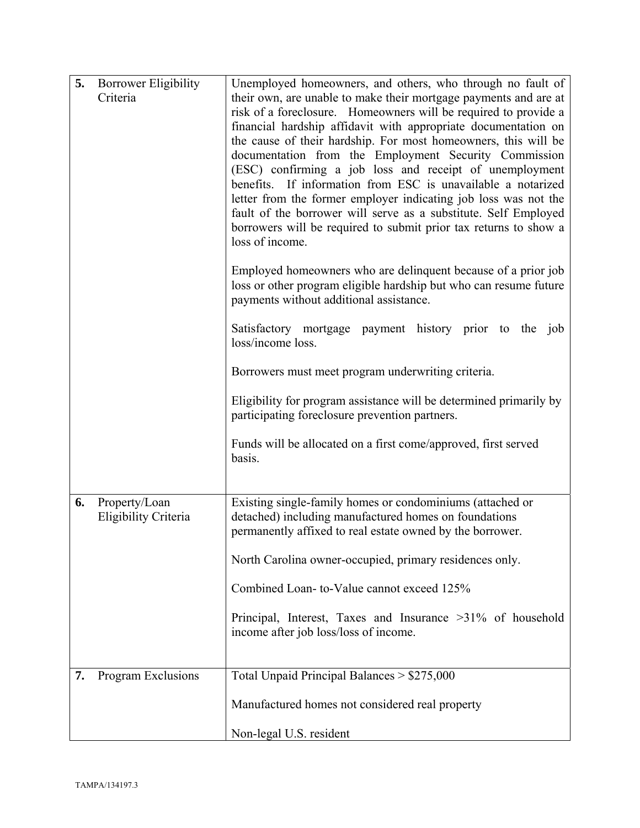| 5. | <b>Borrower Eligibility</b><br>Criteria | Unemployed homeowners, and others, who through no fault of<br>their own, are unable to make their mortgage payments and are at                                                |
|----|-----------------------------------------|-------------------------------------------------------------------------------------------------------------------------------------------------------------------------------|
|    |                                         | risk of a foreclosure. Homeowners will be required to provide a                                                                                                               |
|    |                                         | financial hardship affidavit with appropriate documentation on<br>the cause of their hardship. For most homeowners, this will be                                              |
|    |                                         | documentation from the Employment Security Commission                                                                                                                         |
|    |                                         | (ESC) confirming a job loss and receipt of unemployment<br>benefits. If information from ESC is unavailable a notarized                                                       |
|    |                                         | letter from the former employer indicating job loss was not the<br>fault of the borrower will serve as a substitute. Self Employed                                            |
|    |                                         | borrowers will be required to submit prior tax returns to show a<br>loss of income.                                                                                           |
|    |                                         | Employed homeowners who are delinquent because of a prior job<br>loss or other program eligible hardship but who can resume future<br>payments without additional assistance. |
|    |                                         | Satisfactory mortgage payment history prior to the job                                                                                                                        |
|    |                                         | loss/income loss.                                                                                                                                                             |
|    |                                         | Borrowers must meet program underwriting criteria.                                                                                                                            |
|    |                                         | Eligibility for program assistance will be determined primarily by                                                                                                            |
|    |                                         | participating foreclosure prevention partners.                                                                                                                                |
|    |                                         | Funds will be allocated on a first come/approved, first served<br>basis.                                                                                                      |
|    |                                         |                                                                                                                                                                               |
| 6. | Property/Loan<br>Eligibility Criteria   | Existing single-family homes or condominiums (attached or<br>detached) including manufactured homes on foundations                                                            |
|    |                                         | permanently affixed to real estate owned by the borrower.                                                                                                                     |
|    |                                         | North Carolina owner-occupied, primary residences only.                                                                                                                       |
|    |                                         | Combined Loan-to-Value cannot exceed 125%                                                                                                                                     |
|    |                                         | Principal, Interest, Taxes and Insurance >31% of household                                                                                                                    |
|    |                                         | income after job loss/loss of income.                                                                                                                                         |
| 7. | Program Exclusions                      | Total Unpaid Principal Balances > \$275,000                                                                                                                                   |
|    |                                         |                                                                                                                                                                               |
|    |                                         | Manufactured homes not considered real property                                                                                                                               |
|    |                                         | Non-legal U.S. resident                                                                                                                                                       |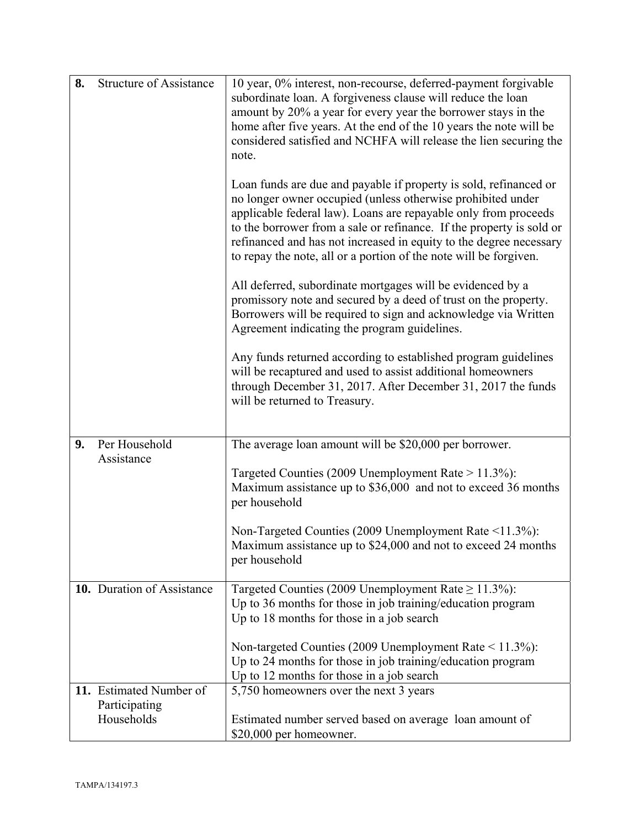| 8. | <b>Structure of Assistance</b> | 10 year, 0% interest, non-recourse, deferred-payment forgivable<br>subordinate loan. A forgiveness clause will reduce the loan<br>amount by 20% a year for every year the borrower stays in the<br>home after five years. At the end of the 10 years the note will be<br>considered satisfied and NCHFA will release the lien securing the<br>note.                                                                    |
|----|--------------------------------|------------------------------------------------------------------------------------------------------------------------------------------------------------------------------------------------------------------------------------------------------------------------------------------------------------------------------------------------------------------------------------------------------------------------|
|    |                                | Loan funds are due and payable if property is sold, refinanced or<br>no longer owner occupied (unless otherwise prohibited under<br>applicable federal law). Loans are repayable only from proceeds<br>to the borrower from a sale or refinance. If the property is sold or<br>refinanced and has not increased in equity to the degree necessary<br>to repay the note, all or a portion of the note will be forgiven. |
|    |                                | All deferred, subordinate mortgages will be evidenced by a<br>promissory note and secured by a deed of trust on the property.<br>Borrowers will be required to sign and acknowledge via Written<br>Agreement indicating the program guidelines.                                                                                                                                                                        |
|    |                                | Any funds returned according to established program guidelines<br>will be recaptured and used to assist additional homeowners<br>through December 31, 2017. After December 31, 2017 the funds<br>will be returned to Treasury.                                                                                                                                                                                         |
| 9. | Per Household                  | The average loan amount will be \$20,000 per borrower.                                                                                                                                                                                                                                                                                                                                                                 |
|    | Assistance                     | Targeted Counties (2009 Unemployment Rate $> 11.3\%$ ):<br>Maximum assistance up to \$36,000 and not to exceed 36 months<br>per household                                                                                                                                                                                                                                                                              |
|    |                                | Non-Targeted Counties (2009 Unemployment Rate <11.3%):<br>Maximum assistance up to \$24,000 and not to exceed 24 months<br>per household                                                                                                                                                                                                                                                                               |
|    | 10. Duration of Assistance     | Targeted Counties (2009 Unemployment Rate $\geq 11.3\%$ ):<br>Up to 36 months for those in job training/education program<br>Up to 18 months for those in a job search                                                                                                                                                                                                                                                 |
|    |                                | Non-targeted Counties (2009 Unemployment Rate $\leq$ 11.3%):<br>Up to 24 months for those in job training/education program<br>Up to 12 months for those in a job search                                                                                                                                                                                                                                               |
|    | 11. Estimated Number of        | 5,750 homeowners over the next 3 years                                                                                                                                                                                                                                                                                                                                                                                 |
|    | Participating<br>Households    | Estimated number served based on average loan amount of<br>\$20,000 per homeowner.                                                                                                                                                                                                                                                                                                                                     |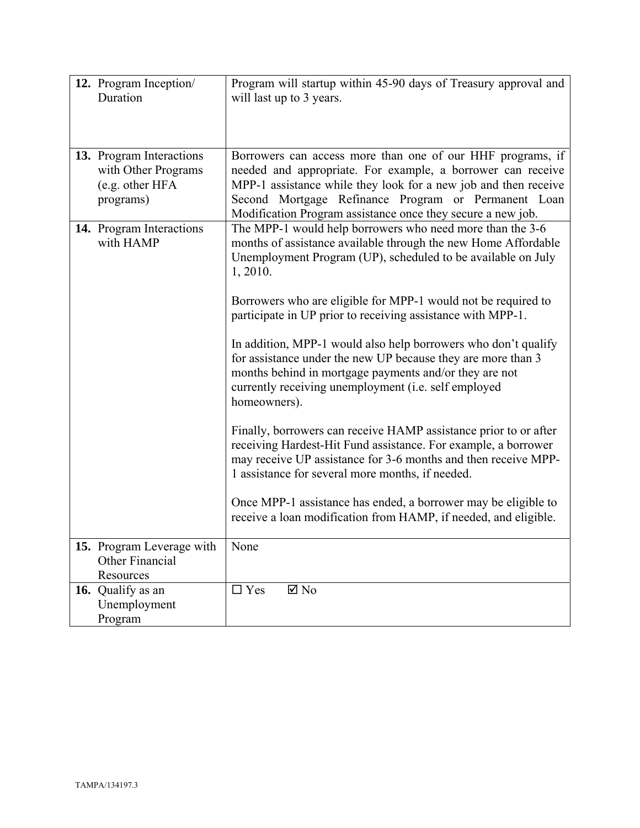| 12. Program Inception/<br>Duration                                              | Program will startup within 45-90 days of Treasury approval and<br>will last up to 3 years.                                                                                                                                                                                                                        |
|---------------------------------------------------------------------------------|--------------------------------------------------------------------------------------------------------------------------------------------------------------------------------------------------------------------------------------------------------------------------------------------------------------------|
| 13. Program Interactions<br>with Other Programs<br>(e.g. other HFA<br>programs) | Borrowers can access more than one of our HHF programs, if<br>needed and appropriate. For example, a borrower can receive<br>MPP-1 assistance while they look for a new job and then receive<br>Second Mortgage Refinance Program or Permanent Loan<br>Modification Program assistance once they secure a new job. |
| 14. Program Interactions<br>with HAMP                                           | The MPP-1 would help borrowers who need more than the 3-6<br>months of assistance available through the new Home Affordable<br>Unemployment Program (UP), scheduled to be available on July<br>1, 2010.                                                                                                            |
|                                                                                 | Borrowers who are eligible for MPP-1 would not be required to<br>participate in UP prior to receiving assistance with MPP-1.                                                                                                                                                                                       |
|                                                                                 | In addition, MPP-1 would also help borrowers who don't qualify<br>for assistance under the new UP because they are more than 3<br>months behind in mortgage payments and/or they are not<br>currently receiving unemployment (i.e. self employed<br>homeowners).                                                   |
|                                                                                 | Finally, borrowers can receive HAMP assistance prior to or after<br>receiving Hardest-Hit Fund assistance. For example, a borrower<br>may receive UP assistance for 3-6 months and then receive MPP-<br>1 assistance for several more months, if needed.                                                           |
|                                                                                 | Once MPP-1 assistance has ended, a borrower may be eligible to<br>receive a loan modification from HAMP, if needed, and eligible.                                                                                                                                                                                  |
| 15. Program Leverage with<br>Other Financial<br>Resources                       | None                                                                                                                                                                                                                                                                                                               |
| 16. Qualify as an<br>Unemployment<br>Program                                    | $\Box$ Yes<br>$\boxtimes$ No                                                                                                                                                                                                                                                                                       |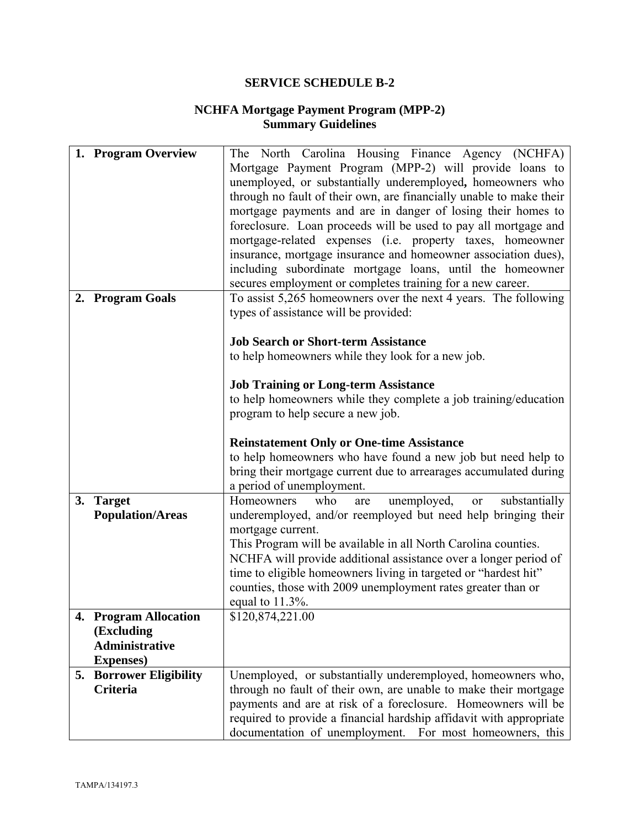### **NCHFA Mortgage Payment Program (MPP-2) Summary Guidelines**

|    | 1. Program Overview            | The North Carolina Housing Finance Agency (NCHFA)                     |
|----|--------------------------------|-----------------------------------------------------------------------|
|    |                                | Mortgage Payment Program (MPP-2) will provide loans to                |
|    |                                | unemployed, or substantially underemployed, homeowners who            |
|    |                                | through no fault of their own, are financially unable to make their   |
|    |                                | mortgage payments and are in danger of losing their homes to          |
|    |                                | foreclosure. Loan proceeds will be used to pay all mortgage and       |
|    |                                | mortgage-related expenses (i.e. property taxes, homeowner             |
|    |                                | insurance, mortgage insurance and homeowner association dues),        |
|    |                                | including subordinate mortgage loans, until the homeowner             |
|    |                                | secures employment or completes training for a new career.            |
|    | 2. Program Goals               | To assist 5,265 homeowners over the next 4 years. The following       |
|    |                                | types of assistance will be provided:                                 |
|    |                                |                                                                       |
|    |                                | <b>Job Search or Short-term Assistance</b>                            |
|    |                                | to help homeowners while they look for a new job.                     |
|    |                                |                                                                       |
|    |                                | <b>Job Training or Long-term Assistance</b>                           |
|    |                                | to help homeowners while they complete a job training/education       |
|    |                                | program to help secure a new job.                                     |
|    |                                |                                                                       |
|    |                                | <b>Reinstatement Only or One-time Assistance</b>                      |
|    |                                | to help homeowners who have found a new job but need help to          |
|    |                                | bring their mortgage current due to arrearages accumulated during     |
|    |                                | a period of unemployment.                                             |
| 3. | <b>Target</b>                  | unemployed,<br>Homeowners<br>who<br>substantially<br>are<br><b>or</b> |
|    | <b>Population/Areas</b>        | underemployed, and/or reemployed but need help bringing their         |
|    |                                | mortgage current.                                                     |
|    |                                | This Program will be available in all North Carolina counties.        |
|    |                                | NCHFA will provide additional assistance over a longer period of      |
|    |                                | time to eligible homeowners living in targeted or "hardest hit"       |
|    |                                | counties, those with 2009 unemployment rates greater than or          |
|    |                                | equal to $11.3\%$ .                                                   |
|    | 4. Program Allocation          | \$120,874,221.00                                                      |
|    | (Excluding                     |                                                                       |
|    | <b>Administrative</b>          |                                                                       |
|    | <b>Expenses</b> )              |                                                                       |
|    | <b>5. Borrower Eligibility</b> | Unemployed, or substantially underemployed, homeowners who,           |
|    | Criteria                       | through no fault of their own, are unable to make their mortgage      |
|    |                                | payments and are at risk of a foreclosure. Homeowners will be         |
|    |                                | required to provide a financial hardship affidavit with appropriate   |
|    |                                | documentation of unemployment. For most homeowners, this              |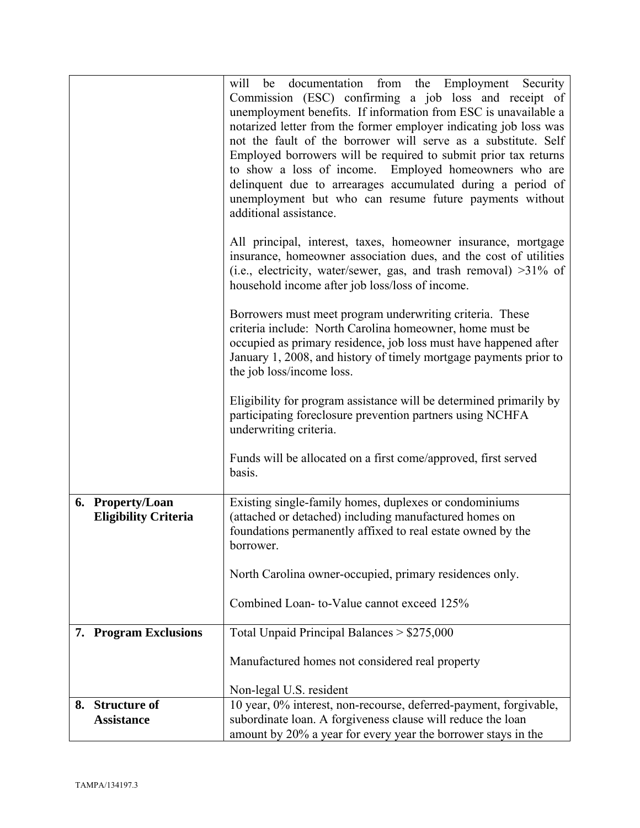|                                                 | be documentation from the Employment Security<br>will<br>Commission (ESC) confirming a job loss and receipt of<br>unemployment benefits. If information from ESC is unavailable a<br>notarized letter from the former employer indicating job loss was<br>not the fault of the borrower will serve as a substitute. Self<br>Employed borrowers will be required to submit prior tax returns<br>to show a loss of income. Employed homeowners who are<br>delinquent due to arrearages accumulated during a period of<br>unemployment but who can resume future payments without<br>additional assistance.<br>All principal, interest, taxes, homeowner insurance, mortgage |
|-------------------------------------------------|---------------------------------------------------------------------------------------------------------------------------------------------------------------------------------------------------------------------------------------------------------------------------------------------------------------------------------------------------------------------------------------------------------------------------------------------------------------------------------------------------------------------------------------------------------------------------------------------------------------------------------------------------------------------------|
|                                                 | insurance, homeowner association dues, and the cost of utilities<br>(i.e., electricity, water/sewer, gas, and trash removal) >31% of<br>household income after job loss/loss of income.                                                                                                                                                                                                                                                                                                                                                                                                                                                                                   |
|                                                 | Borrowers must meet program underwriting criteria. These<br>criteria include: North Carolina homeowner, home must be<br>occupied as primary residence, job loss must have happened after<br>January 1, 2008, and history of timely mortgage payments prior to<br>the job loss/income loss.                                                                                                                                                                                                                                                                                                                                                                                |
|                                                 | Eligibility for program assistance will be determined primarily by<br>participating foreclosure prevention partners using NCHFA<br>underwriting criteria.                                                                                                                                                                                                                                                                                                                                                                                                                                                                                                                 |
|                                                 | Funds will be allocated on a first come/approved, first served<br>basis.                                                                                                                                                                                                                                                                                                                                                                                                                                                                                                                                                                                                  |
| 6. Property/Loan<br><b>Eligibility Criteria</b> | Existing single-family homes, duplexes or condominiums<br>(attached or detached) including manufactured homes on<br>foundations permanently affixed to real estate owned by the<br>borrower.                                                                                                                                                                                                                                                                                                                                                                                                                                                                              |
|                                                 | North Carolina owner-occupied, primary residences only.                                                                                                                                                                                                                                                                                                                                                                                                                                                                                                                                                                                                                   |
|                                                 | Combined Loan-to-Value cannot exceed 125%                                                                                                                                                                                                                                                                                                                                                                                                                                                                                                                                                                                                                                 |
| 7. Program Exclusions                           | Total Unpaid Principal Balances > \$275,000                                                                                                                                                                                                                                                                                                                                                                                                                                                                                                                                                                                                                               |
|                                                 | Manufactured homes not considered real property                                                                                                                                                                                                                                                                                                                                                                                                                                                                                                                                                                                                                           |
|                                                 | Non-legal U.S. resident                                                                                                                                                                                                                                                                                                                                                                                                                                                                                                                                                                                                                                                   |
| 8. Structure of<br><b>Assistance</b>            | 10 year, 0% interest, non-recourse, deferred-payment, forgivable,<br>subordinate loan. A forgiveness clause will reduce the loan<br>amount by 20% a year for every year the borrower stays in the                                                                                                                                                                                                                                                                                                                                                                                                                                                                         |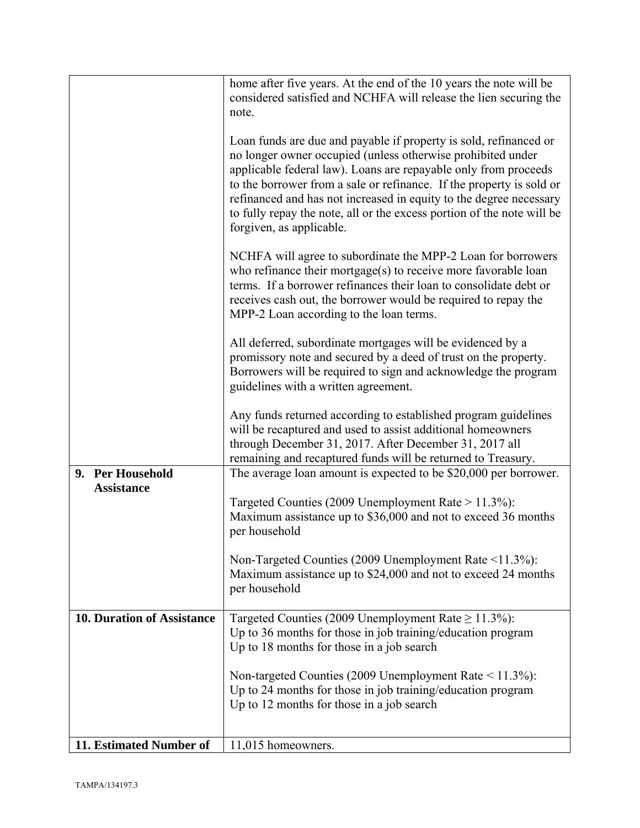|                                       | home after five years. At the end of the 10 years the note will be<br>considered satisfied and NCHFA will release the lien securing the<br>note.                                                                                                                                                                                                                                                                                                        |
|---------------------------------------|---------------------------------------------------------------------------------------------------------------------------------------------------------------------------------------------------------------------------------------------------------------------------------------------------------------------------------------------------------------------------------------------------------------------------------------------------------|
|                                       | Loan funds are due and payable if property is sold, refinanced or<br>no longer owner occupied (unless otherwise prohibited under<br>applicable federal law). Loans are repayable only from proceeds<br>to the borrower from a sale or refinance. If the property is sold or<br>refinanced and has not increased in equity to the degree necessary<br>to fully repay the note, all or the excess portion of the note will be<br>forgiven, as applicable. |
|                                       | NCHFA will agree to subordinate the MPP-2 Loan for borrowers<br>who refinance their mortgage(s) to receive more favorable loan<br>terms. If a borrower refinances their loan to consolidate debt or<br>receives cash out, the borrower would be required to repay the<br>MPP-2 Loan according to the loan terms.                                                                                                                                        |
|                                       | All deferred, subordinate mortgages will be evidenced by a<br>promissory note and secured by a deed of trust on the property.<br>Borrowers will be required to sign and acknowledge the program<br>guidelines with a written agreement.                                                                                                                                                                                                                 |
|                                       | Any funds returned according to established program guidelines<br>will be recaptured and used to assist additional homeowners<br>through December 31, 2017. After December 31, 2017 all<br>remaining and recaptured funds will be returned to Treasury.                                                                                                                                                                                                 |
| 9. Per Household<br><b>Assistance</b> | The average loan amount is expected to be \$20,000 per borrower.<br>Targeted Counties (2009 Unemployment Rate $> 11.3\%$ ):<br>Maximum assistance up to \$36,000 and not to exceed 36 months<br>per household<br>Non-Targeted Counties (2009 Unemployment Rate <11.3%):                                                                                                                                                                                 |
|                                       | Maximum assistance up to \$24,000 and not to exceed 24 months<br>per household                                                                                                                                                                                                                                                                                                                                                                          |
| <b>10. Duration of Assistance</b>     | Targeted Counties (2009 Unemployment Rate $\geq$ 11.3%):<br>Up to 36 months for those in job training/education program<br>Up to 18 months for those in a job search                                                                                                                                                                                                                                                                                    |
|                                       | Non-targeted Counties (2009 Unemployment Rate $\leq$ 11.3%):<br>Up to 24 months for those in job training/education program<br>Up to 12 months for those in a job search                                                                                                                                                                                                                                                                                |
| 11. Estimated Number of               | 11,015 homeowners.                                                                                                                                                                                                                                                                                                                                                                                                                                      |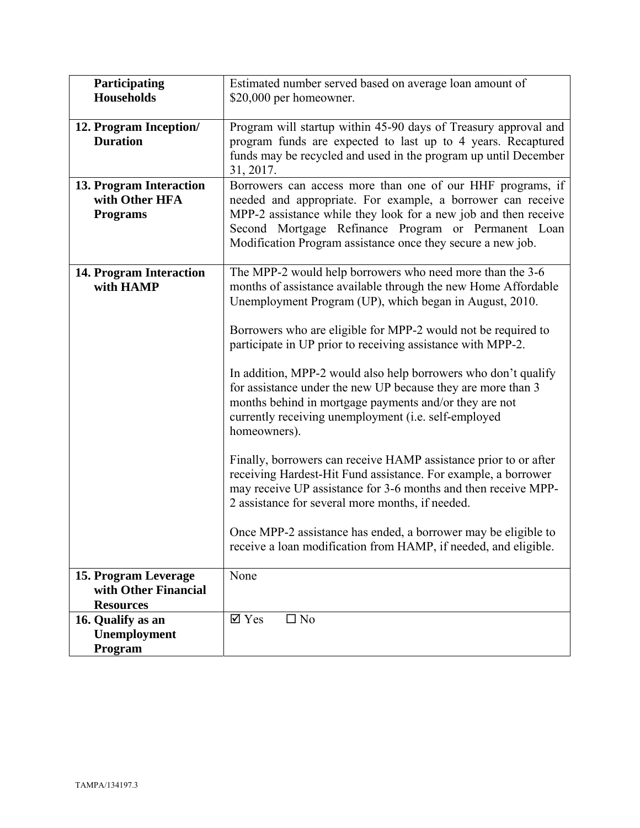| Participating<br><b>Households</b>                               | Estimated number served based on average loan amount of<br>\$20,000 per homeowner.                                                                                                                                                                                                                                                                                                                                                                                                                                                                                                                                                                                                                                                                                                                                                                                                                                                                                                          |
|------------------------------------------------------------------|---------------------------------------------------------------------------------------------------------------------------------------------------------------------------------------------------------------------------------------------------------------------------------------------------------------------------------------------------------------------------------------------------------------------------------------------------------------------------------------------------------------------------------------------------------------------------------------------------------------------------------------------------------------------------------------------------------------------------------------------------------------------------------------------------------------------------------------------------------------------------------------------------------------------------------------------------------------------------------------------|
| 12. Program Inception/<br><b>Duration</b>                        | Program will startup within 45-90 days of Treasury approval and<br>program funds are expected to last up to 4 years. Recaptured<br>funds may be recycled and used in the program up until December<br>31, 2017.                                                                                                                                                                                                                                                                                                                                                                                                                                                                                                                                                                                                                                                                                                                                                                             |
| 13. Program Interaction<br>with Other HFA<br><b>Programs</b>     | Borrowers can access more than one of our HHF programs, if<br>needed and appropriate. For example, a borrower can receive<br>MPP-2 assistance while they look for a new job and then receive<br>Second Mortgage Refinance Program or Permanent Loan<br>Modification Program assistance once they secure a new job.                                                                                                                                                                                                                                                                                                                                                                                                                                                                                                                                                                                                                                                                          |
| 14. Program Interaction<br>with HAMP                             | The MPP-2 would help borrowers who need more than the 3-6<br>months of assistance available through the new Home Affordable<br>Unemployment Program (UP), which began in August, 2010.<br>Borrowers who are eligible for MPP-2 would not be required to<br>participate in UP prior to receiving assistance with MPP-2.<br>In addition, MPP-2 would also help borrowers who don't qualify<br>for assistance under the new UP because they are more than 3<br>months behind in mortgage payments and/or they are not<br>currently receiving unemployment (i.e. self-employed<br>homeowners).<br>Finally, borrowers can receive HAMP assistance prior to or after<br>receiving Hardest-Hit Fund assistance. For example, a borrower<br>may receive UP assistance for 3-6 months and then receive MPP-<br>2 assistance for several more months, if needed.<br>Once MPP-2 assistance has ended, a borrower may be eligible to<br>receive a loan modification from HAMP, if needed, and eligible. |
| 15. Program Leverage<br>with Other Financial                     | None                                                                                                                                                                                                                                                                                                                                                                                                                                                                                                                                                                                                                                                                                                                                                                                                                                                                                                                                                                                        |
| <b>Resources</b><br>16. Qualify as an<br>Unemployment<br>Program | $\overline{\mathsf{M}}$ Yes<br>$\Box$ No                                                                                                                                                                                                                                                                                                                                                                                                                                                                                                                                                                                                                                                                                                                                                                                                                                                                                                                                                    |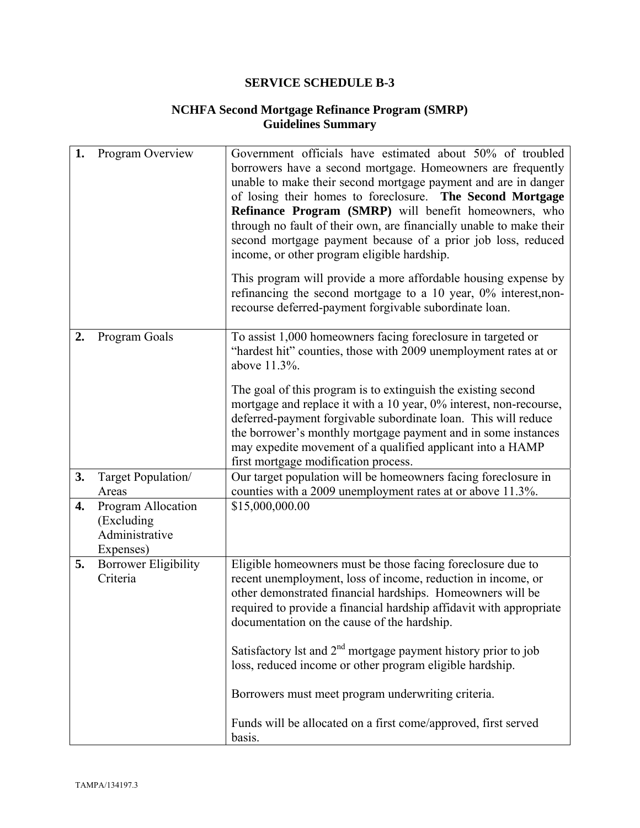# **NCHFA Second Mortgage Refinance Program (SMRP) Guidelines Summary**

| 1. | Program Overview                                                 | Government officials have estimated about 50% of troubled<br>borrowers have a second mortgage. Homeowners are frequently<br>unable to make their second mortgage payment and are in danger<br>of losing their homes to foreclosure. The Second Mortgage<br>Refinance Program (SMRP) will benefit homeowners, who<br>through no fault of their own, are financially unable to make their<br>second mortgage payment because of a prior job loss, reduced<br>income, or other program eligible hardship.<br>This program will provide a more affordable housing expense by<br>refinancing the second mortgage to a 10 year, $0\%$ interest, non-<br>recourse deferred-payment forgivable subordinate loan. |
|----|------------------------------------------------------------------|----------------------------------------------------------------------------------------------------------------------------------------------------------------------------------------------------------------------------------------------------------------------------------------------------------------------------------------------------------------------------------------------------------------------------------------------------------------------------------------------------------------------------------------------------------------------------------------------------------------------------------------------------------------------------------------------------------|
| 2. | Program Goals                                                    | To assist 1,000 homeowners facing foreclosure in targeted or<br>"hardest hit" counties, those with 2009 unemployment rates at or<br>above 11.3%.                                                                                                                                                                                                                                                                                                                                                                                                                                                                                                                                                         |
|    |                                                                  | The goal of this program is to extinguish the existing second<br>mortgage and replace it with a 10 year, 0% interest, non-recourse,<br>deferred-payment forgivable subordinate loan. This will reduce<br>the borrower's monthly mortgage payment and in some instances<br>may expedite movement of a qualified applicant into a HAMP<br>first mortgage modification process.                                                                                                                                                                                                                                                                                                                             |
| 3. | Target Population/                                               | Our target population will be homeowners facing foreclosure in                                                                                                                                                                                                                                                                                                                                                                                                                                                                                                                                                                                                                                           |
| 4. | Areas                                                            | counties with a 2009 unemployment rates at or above 11.3%.<br>\$15,000,000.00                                                                                                                                                                                                                                                                                                                                                                                                                                                                                                                                                                                                                            |
|    | Program Allocation<br>(Excluding)<br>Administrative<br>Expenses) |                                                                                                                                                                                                                                                                                                                                                                                                                                                                                                                                                                                                                                                                                                          |
| 5. | Borrower Eligibility<br>Criteria                                 | Eligible homeowners must be those facing foreclosure due to<br>recent unemployment, loss of income, reduction in income, or<br>other demonstrated financial hardships. Homeowners will be<br>required to provide a financial hardship affidavit with appropriate<br>documentation on the cause of the hardship.<br>Satisfactory 1st and $2nd$ mortgage payment history prior to job<br>loss, reduced income or other program eligible hardship.<br>Borrowers must meet program underwriting criteria.<br>Funds will be allocated on a first come/approved, first served<br>basis.                                                                                                                        |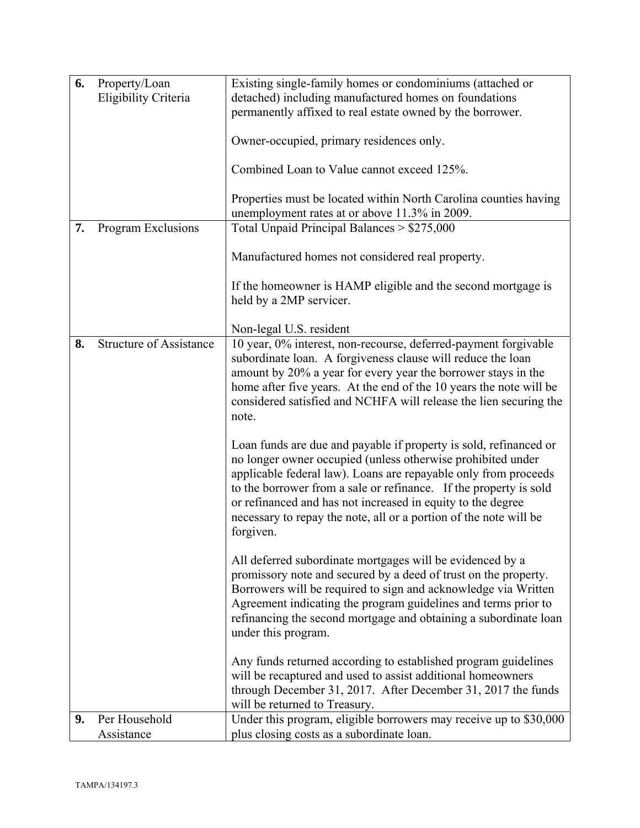| 6. | Property/Loan                  | Existing single-family homes or condominiums (attached or                                                                                                                                                                                                                                                                                                                                                                 |
|----|--------------------------------|---------------------------------------------------------------------------------------------------------------------------------------------------------------------------------------------------------------------------------------------------------------------------------------------------------------------------------------------------------------------------------------------------------------------------|
|    | Eligibility Criteria           | detached) including manufactured homes on foundations                                                                                                                                                                                                                                                                                                                                                                     |
|    |                                | permanently affixed to real estate owned by the borrower.                                                                                                                                                                                                                                                                                                                                                                 |
|    |                                | Owner-occupied, primary residences only.                                                                                                                                                                                                                                                                                                                                                                                  |
|    |                                | Combined Loan to Value cannot exceed 125%.                                                                                                                                                                                                                                                                                                                                                                                |
|    |                                | Properties must be located within North Carolina counties having<br>unemployment rates at or above 11.3% in 2009.                                                                                                                                                                                                                                                                                                         |
| 7. | Program Exclusions             | Total Unpaid Principal Balances > \$275,000                                                                                                                                                                                                                                                                                                                                                                               |
|    |                                | Manufactured homes not considered real property.                                                                                                                                                                                                                                                                                                                                                                          |
|    |                                | If the homeowner is HAMP eligible and the second mortgage is<br>held by a 2MP servicer.                                                                                                                                                                                                                                                                                                                                   |
|    |                                |                                                                                                                                                                                                                                                                                                                                                                                                                           |
| 8. | <b>Structure of Assistance</b> | Non-legal U.S. resident<br>10 year, 0% interest, non-recourse, deferred-payment forgivable                                                                                                                                                                                                                                                                                                                                |
|    |                                | subordinate loan. A forgiveness clause will reduce the loan<br>amount by 20% a year for every year the borrower stays in the                                                                                                                                                                                                                                                                                              |
|    |                                | home after five years. At the end of the 10 years the note will be                                                                                                                                                                                                                                                                                                                                                        |
|    |                                | considered satisfied and NCHFA will release the lien securing the<br>note.                                                                                                                                                                                                                                                                                                                                                |
|    |                                | Loan funds are due and payable if property is sold, refinanced or<br>no longer owner occupied (unless otherwise prohibited under<br>applicable federal law). Loans are repayable only from proceeds<br>to the borrower from a sale or refinance. If the property is sold<br>or refinanced and has not increased in equity to the degree<br>necessary to repay the note, all or a portion of the note will be<br>forgiven. |
|    |                                | All deferred subordinate mortgages will be evidenced by a<br>promissory note and secured by a deed of trust on the property.<br>Borrowers will be required to sign and acknowledge via Written<br>Agreement indicating the program guidelines and terms prior to<br>refinancing the second mortgage and obtaining a subordinate loan<br>under this program.                                                               |
|    |                                | Any funds returned according to established program guidelines<br>will be recaptured and used to assist additional homeowners<br>through December 31, 2017. After December 31, 2017 the funds<br>will be returned to Treasury.                                                                                                                                                                                            |
| 9. | Per Household                  | Under this program, eligible borrowers may receive up to \$30,000                                                                                                                                                                                                                                                                                                                                                         |
|    | Assistance                     | plus closing costs as a subordinate loan.                                                                                                                                                                                                                                                                                                                                                                                 |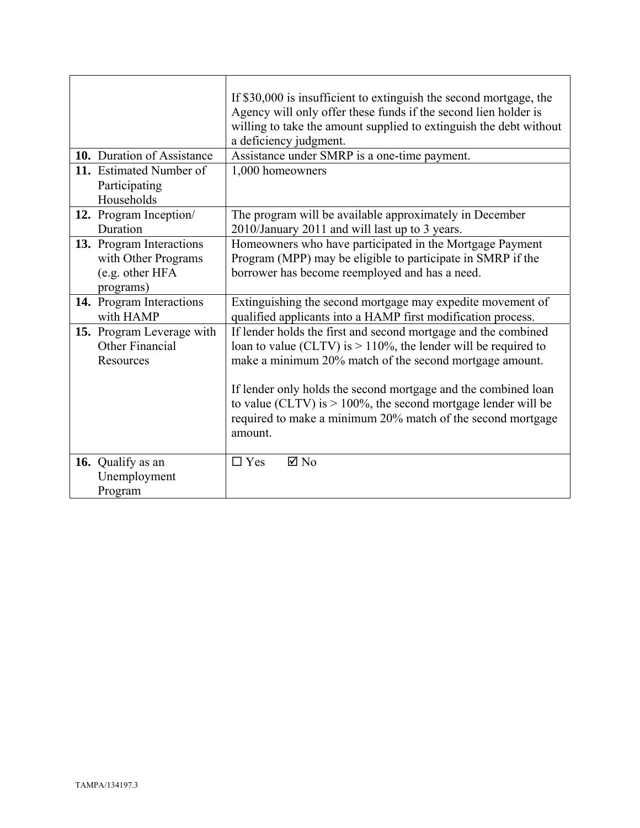| 10. Duration of Assistance<br>11. Estimated Number of<br>Participating          | If \$30,000 is insufficient to extinguish the second mortgage, the<br>Agency will only offer these funds if the second lien holder is<br>willing to take the amount supplied to extinguish the debt without<br>a deficiency judgment.<br>Assistance under SMRP is a one-time payment.<br>1,000 homeowners                                                                                                        |
|---------------------------------------------------------------------------------|------------------------------------------------------------------------------------------------------------------------------------------------------------------------------------------------------------------------------------------------------------------------------------------------------------------------------------------------------------------------------------------------------------------|
| Households                                                                      |                                                                                                                                                                                                                                                                                                                                                                                                                  |
| 12. Program Inception/<br>Duration                                              | The program will be available approximately in December                                                                                                                                                                                                                                                                                                                                                          |
| 13. Program Interactions<br>with Other Programs<br>(e.g. other HFA<br>programs) | 2010/January 2011 and will last up to 3 years.<br>Homeowners who have participated in the Mortgage Payment<br>Program (MPP) may be eligible to participate in SMRP if the<br>borrower has become reemployed and has a need.                                                                                                                                                                                      |
| 14. Program Interactions<br>with HAMP                                           | Extinguishing the second mortgage may expedite movement of<br>qualified applicants into a HAMP first modification process.                                                                                                                                                                                                                                                                                       |
| 15. Program Leverage with<br>Other Financial<br>Resources                       | If lender holds the first and second mortgage and the combined<br>loan to value (CLTV) is $> 110\%$ , the lender will be required to<br>make a minimum 20% match of the second mortgage amount.<br>If lender only holds the second mortgage and the combined loan<br>to value (CLTV) is $> 100\%$ , the second mortgage lender will be<br>required to make a minimum 20% match of the second mortgage<br>amount. |
| 16. Qualify as an<br>Unemployment<br>Program                                    | $\boxtimes$ No<br>$\Box$ Yes                                                                                                                                                                                                                                                                                                                                                                                     |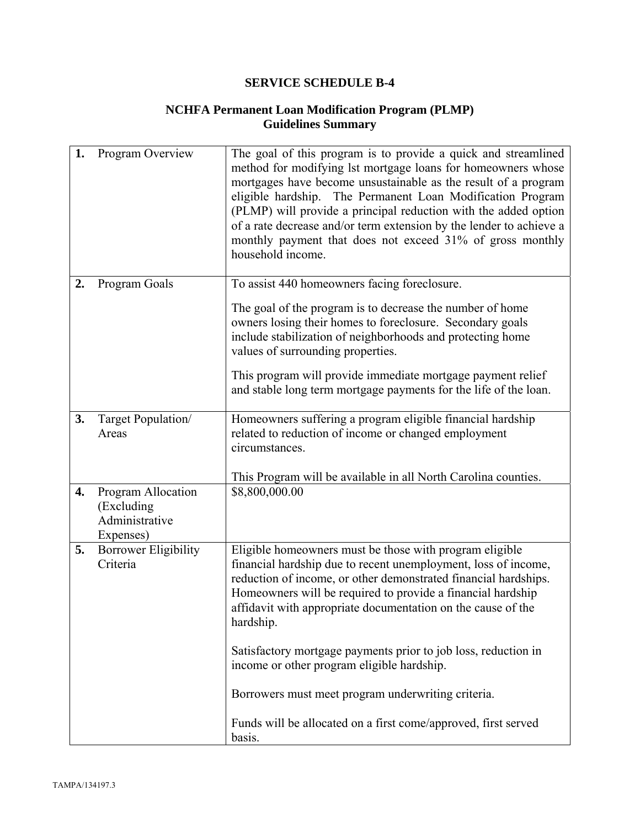# **NCHFA Permanent Loan Modification Program (PLMP) Guidelines Summary**

| 1. | Program Overview                                                | The goal of this program is to provide a quick and streamlined<br>method for modifying lst mortgage loans for homeowners whose<br>mortgages have become unsustainable as the result of a program<br>eligible hardship. The Permanent Loan Modification Program<br>(PLMP) will provide a principal reduction with the added option<br>of a rate decrease and/or term extension by the lender to achieve a<br>monthly payment that does not exceed 31% of gross monthly<br>household income. |
|----|-----------------------------------------------------------------|--------------------------------------------------------------------------------------------------------------------------------------------------------------------------------------------------------------------------------------------------------------------------------------------------------------------------------------------------------------------------------------------------------------------------------------------------------------------------------------------|
| 2. | Program Goals                                                   | To assist 440 homeowners facing foreclosure.                                                                                                                                                                                                                                                                                                                                                                                                                                               |
|    |                                                                 | The goal of the program is to decrease the number of home<br>owners losing their homes to foreclosure. Secondary goals<br>include stabilization of neighborhoods and protecting home<br>values of surrounding properties.<br>This program will provide immediate mortgage payment relief<br>and stable long term mortgage payments for the life of the loan.                                                                                                                               |
| 3. | Target Population/                                              | Homeowners suffering a program eligible financial hardship                                                                                                                                                                                                                                                                                                                                                                                                                                 |
|    | Areas                                                           | related to reduction of income or changed employment<br>circumstances.                                                                                                                                                                                                                                                                                                                                                                                                                     |
| 4. |                                                                 | This Program will be available in all North Carolina counties.<br>\$8,800,000.00                                                                                                                                                                                                                                                                                                                                                                                                           |
|    | Program Allocation<br>(Excluding<br>Administrative<br>Expenses) |                                                                                                                                                                                                                                                                                                                                                                                                                                                                                            |
| 5. | <b>Borrower Eligibility</b><br>Criteria                         | Eligible homeowners must be those with program eligible<br>financial hardship due to recent unemployment, loss of income,<br>reduction of income, or other demonstrated financial hardships.<br>Homeowners will be required to provide a financial hardship<br>affidavit with appropriate documentation on the cause of the<br>hardship.                                                                                                                                                   |
|    |                                                                 | Satisfactory mortgage payments prior to job loss, reduction in<br>income or other program eligible hardship.                                                                                                                                                                                                                                                                                                                                                                               |
|    |                                                                 | Borrowers must meet program underwriting criteria.                                                                                                                                                                                                                                                                                                                                                                                                                                         |
|    |                                                                 | Funds will be allocated on a first come/approved, first served<br>basis.                                                                                                                                                                                                                                                                                                                                                                                                                   |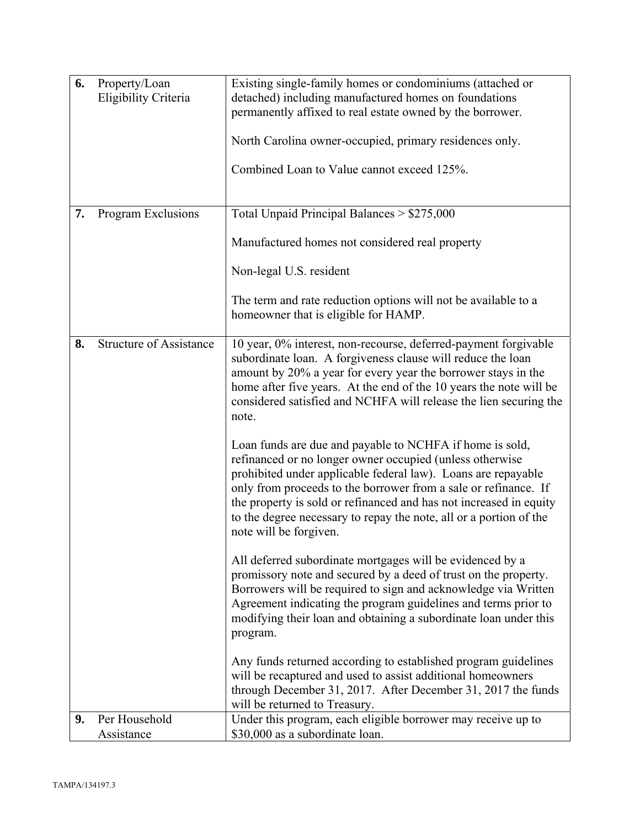| 6.<br>Property/Loan<br>Existing single-family homes or condominiums (attached or<br>Eligibility Criteria<br>detached) including manufactured homes on foundations<br>permanently affixed to real estate owned by the borrower.<br>North Carolina owner-occupied, primary residences only.                                                                                                                                      |  |
|--------------------------------------------------------------------------------------------------------------------------------------------------------------------------------------------------------------------------------------------------------------------------------------------------------------------------------------------------------------------------------------------------------------------------------|--|
| Combined Loan to Value cannot exceed 125%.                                                                                                                                                                                                                                                                                                                                                                                     |  |
| Total Unpaid Principal Balances > \$275,000<br>7.<br>Program Exclusions                                                                                                                                                                                                                                                                                                                                                        |  |
| Manufactured homes not considered real property                                                                                                                                                                                                                                                                                                                                                                                |  |
| Non-legal U.S. resident                                                                                                                                                                                                                                                                                                                                                                                                        |  |
| The term and rate reduction options will not be available to a<br>homeowner that is eligible for HAMP.                                                                                                                                                                                                                                                                                                                         |  |
| <b>Structure of Assistance</b><br>10 year, 0% interest, non-recourse, deferred-payment forgivable<br>8.<br>subordinate loan. A forgiveness clause will reduce the loan<br>amount by 20% a year for every year the borrower stays in the<br>home after five years. At the end of the 10 years the note will be<br>considered satisfied and NCHFA will release the lien securing the<br>note.                                    |  |
| Loan funds are due and payable to NCHFA if home is sold,<br>refinanced or no longer owner occupied (unless otherwise<br>prohibited under applicable federal law). Loans are repayable<br>only from proceeds to the borrower from a sale or refinance. If<br>the property is sold or refinanced and has not increased in equity<br>to the degree necessary to repay the note, all or a portion of the<br>note will be forgiven. |  |
| All deferred subordinate mortgages will be evidenced by a<br>promissory note and secured by a deed of trust on the property.<br>Borrowers will be required to sign and acknowledge via Written<br>Agreement indicating the program guidelines and terms prior to<br>modifying their loan and obtaining a subordinate loan under this<br>program.                                                                               |  |
| Any funds returned according to established program guidelines<br>will be recaptured and used to assist additional homeowners<br>through December 31, 2017. After December 31, 2017 the funds<br>will be returned to Treasury.                                                                                                                                                                                                 |  |
|                                                                                                                                                                                                                                                                                                                                                                                                                                |  |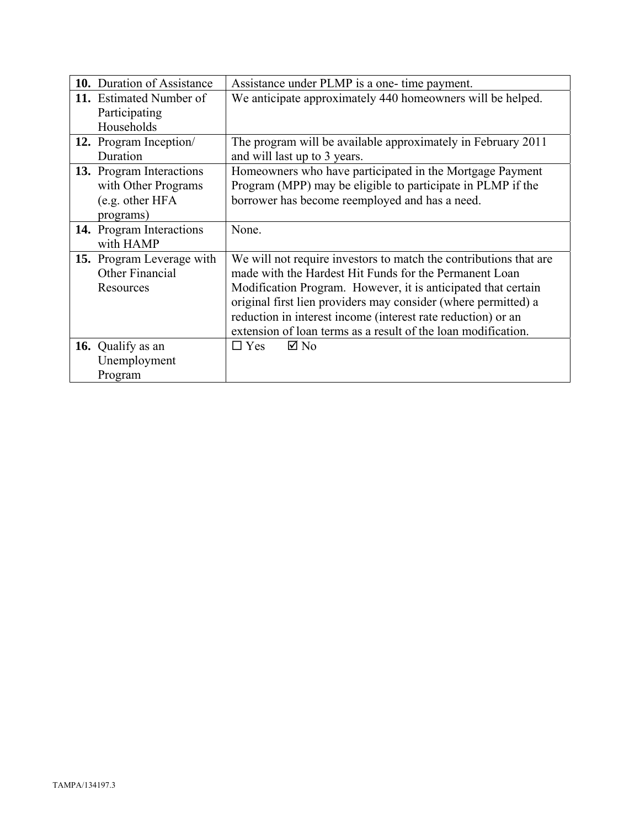| 10. Duration of Assistance                                                             | Assistance under PLMP is a one-time payment.                                                                                                                                                                                                                                                                                                                                                    |  |
|----------------------------------------------------------------------------------------|-------------------------------------------------------------------------------------------------------------------------------------------------------------------------------------------------------------------------------------------------------------------------------------------------------------------------------------------------------------------------------------------------|--|
| 11. Estimated Number of                                                                | We anticipate approximately 440 homeowners will be helped.                                                                                                                                                                                                                                                                                                                                      |  |
| Participating<br>Households                                                            |                                                                                                                                                                                                                                                                                                                                                                                                 |  |
| 12. Program Inception/<br>Duration                                                     | The program will be available approximately in February 2011<br>and will last up to 3 years.                                                                                                                                                                                                                                                                                                    |  |
| <b>13.</b> Program Interactions<br>with Other Programs<br>(e.g. other HFA<br>programs) | Homeowners who have participated in the Mortgage Payment<br>Program (MPP) may be eligible to participate in PLMP if the<br>borrower has become reemployed and has a need.                                                                                                                                                                                                                       |  |
| 14. Program Interactions<br>with HAMP                                                  | None.                                                                                                                                                                                                                                                                                                                                                                                           |  |
| 15. Program Leverage with<br>Other Financial<br>Resources                              | We will not require investors to match the contributions that are<br>made with the Hardest Hit Funds for the Permanent Loan<br>Modification Program. However, it is anticipated that certain<br>original first lien providers may consider (where permitted) a<br>reduction in interest income (interest rate reduction) or an<br>extension of loan terms as a result of the loan modification. |  |
| 16. Qualify as an<br>Unemployment<br>Program                                           | $\boxtimes$ No<br>$\square$ Yes                                                                                                                                                                                                                                                                                                                                                                 |  |